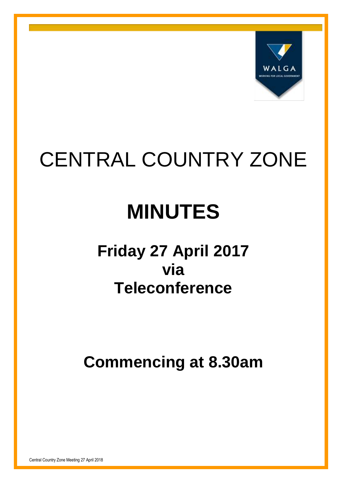

# CENTRAL COUNTRY ZONE

# **MINUTES**

# **Friday 27 April 2017 via Teleconference**

**Commencing at 8.30am**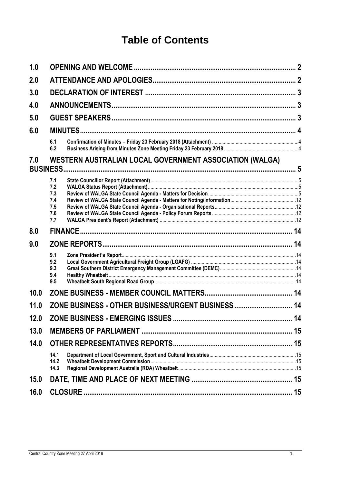## **Table of Contents**

| 1.0  |                                                                            |  |  |
|------|----------------------------------------------------------------------------|--|--|
| 2.0  |                                                                            |  |  |
| 3.0  |                                                                            |  |  |
| 4.0  |                                                                            |  |  |
| 5.0  |                                                                            |  |  |
| 6.0  |                                                                            |  |  |
|      | 6.1<br>6.2                                                                 |  |  |
| 7.0  | WESTERN AUSTRALIAN LOCAL GOVERNMENT ASSOCIATION (WALGA)<br><b>BUSINESS</b> |  |  |
|      | 7.1<br>7.2<br>7.3<br>7.4<br>7.5<br>7.6<br>7.7                              |  |  |
| 8.0  |                                                                            |  |  |
| 9.0  |                                                                            |  |  |
|      | 9.1<br>9.2<br>9.3<br>9.4<br>9.5                                            |  |  |
| 10.0 |                                                                            |  |  |
| 11.0 | ZONE BUSINESS - OTHER BUSINESS/URGENT BUSINESS 14                          |  |  |
| 12.0 | ZONE BUSINESS - EMERGING ISSUES<br>14                                      |  |  |
| 13.0 |                                                                            |  |  |
| 14.0 |                                                                            |  |  |
|      | 14.1<br>14.2<br>14.3                                                       |  |  |
| 15.0 |                                                                            |  |  |
| 16.0 | 15                                                                         |  |  |
|      |                                                                            |  |  |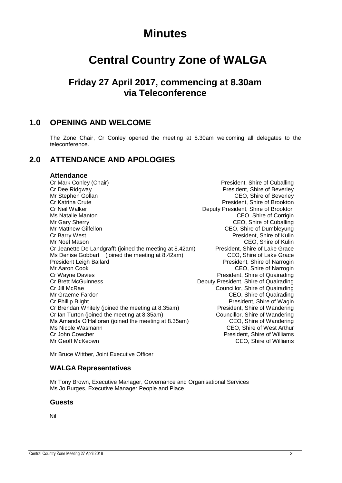## **Minutes**

# **Central Country Zone of WALGA**

## **Friday 27 April 2017, commencing at 8.30am via Teleconference**

## <span id="page-2-0"></span>**1.0 OPENING AND WELCOME**

The Zone Chair, Cr Conley opened the meeting at 8.30am welcoming all delegates to the teleconference.

## <span id="page-2-1"></span>**2.0 ATTENDANCE AND APOLOGIES**

#### **Attendance**

Cr Mark Conley (Chair) **President**, Shire of Cuballing Cr Dee Ridgway **President, Shire of Beverley** Mr Stephen Gollan CEO, Shire of Beverley Cr Katrina Crute **President**, Shire of Brookton Cr Neil Walker Deputy President, Shire of Brookton Ms Natalie Manton CEO, Shire of Corrigin Mr Gary Sherry **CEO**, Shire of Cuballing Mr Matthew Gilfellon **Mr Matthew Gilfellon** CEO, Shire of Dumbleyung<br>Cr Barry West **CRUM** Cr Barry West Mr Noel Mason CEO, Shire of Kulin Cr Jeanette De Landgrafft (joined the meeting at 8.42am) President, Shire of Lake Grace<br>Ms Denise Gobbart (joined the meeting at 8.42am) CEO, Shire of Lake Grace Ms Denise Gobbart (joined the meeting at  $8.42$ am) President Leigh Ballard President, Shire of Narrogin Mr Aaron Cook CEO, Shire of Narrogin Cr Wayne Davies President, Shire of Quairading Cr Brett McGuinness Deputy President, Shire of Quairading Cr Jill McRae Councillor, Shire of Quairading Mr Graeme Fardon CEO, Shire of Quairading Cr Phillip Blight **President, Shire of Wagin** Cr Brendan Whitely (joined the meeting at 8.35am) President, Shire of Wandering Cr Ian Turton (joined the meeting at 8.35am) Councillor, Shire of Wandering Ms Amanda O'Halloran (joined the meeting at 8.35am) CEO, Shire of Wandering Ms Nicole Wasmann CEO, Shire of West Arthur Cr John Cowcher **President**, Shire of Williams Mr Geoff McKeown CEO, Shire of Williams

President, Shire of Kulin

Mr Bruce Wittber, Joint Executive Officer

### **WALGA Representatives**

Mr Tony Brown, Executive Manager, Governance and Organisational Services Ms Jo Burges, Executive Manager People and Place

#### **Guests**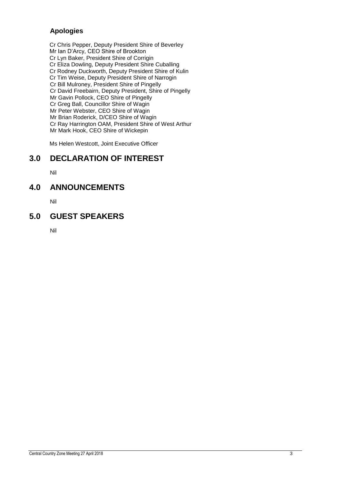## **Apologies**

Cr Chris Pepper, Deputy President Shire of Beverley Mr Ian D'Arcy, CEO Shire of Brookton Cr Lyn Baker, President Shire of Corrigin Cr Eliza Dowling, Deputy President Shire Cuballing Cr Rodney Duckworth, Deputy President Shire of Kulin Cr Tim Weise, Deputy President Shire of Narrogin Cr Bill Mulroney, President Shire of Pingelly Cr David Freebairn, Deputy President, Shire of Pingelly Mr Gavin Pollock, CEO Shire of Pingelly Cr Greg Ball, Councillor Shire of Wagin Mr Peter Webster, CEO Shire of Wagin Mr Brian Roderick, D/CEO Shire of Wagin Cr Ray Harrington OAM, President Shire of West Arthur Mr Mark Hook, CEO Shire of Wickepin

Ms Helen Westcott, Joint Executive Officer

## <span id="page-3-0"></span>**3.0 DECLARATION OF INTEREST**

Nil

## <span id="page-3-1"></span>**4.0 ANNOUNCEMENTS**

Nil

## <span id="page-3-2"></span>**5.0 GUEST SPEAKERS**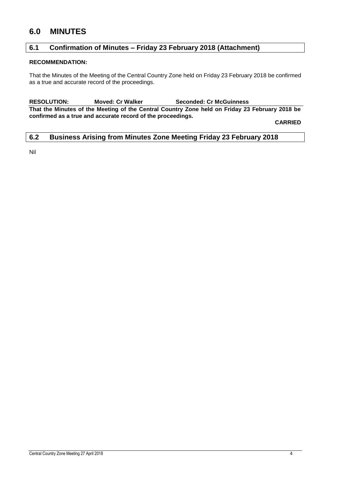## <span id="page-4-0"></span>**6.0 MINUTES**

### <span id="page-4-1"></span>**6.1 Confirmation of Minutes – Friday 23 February 2018 (Attachment)**

#### **RECOMMENDATION:**

That the Minutes of the Meeting of the Central Country Zone held on Friday 23 February 2018 be confirmed as a true and accurate record of the proceedings.

**RESOLUTION: Moved: Cr Walker Seconded: Cr McGuinness That the Minutes of the Meeting of the Central Country Zone held on Friday 23 February 2018 be confirmed as a true and accurate record of the proceedings.**

**CARRIED**

#### <span id="page-4-2"></span>**6.2 Business Arising from Minutes Zone Meeting Friday 23 February 2018**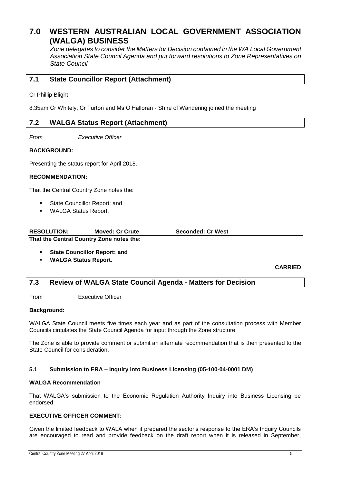## <span id="page-5-0"></span>**7.0 WESTERN AUSTRALIAN LOCAL GOVERNMENT ASSOCIATION (WALGA) BUSINESS**

*Zone delegates to consider the Matters for Decision contained in the WA Local Government Association State Council Agenda and put forward resolutions to Zone Representatives on State Council*

#### <span id="page-5-1"></span>**7.1 State Councillor Report (Attachment)**

Cr Phillip Blight

8.35am Cr Whitely, Cr Turton and Ms O'Halloran - Shire of Wandering joined the meeting

#### <span id="page-5-2"></span>**7.2 WALGA Status Report (Attachment)**

*From Executive Officer*

#### **BACKGROUND:**

Presenting the status report for April 2018.

#### **RECOMMENDATION:**

That the Central Country Zone notes the:

- State Councillor Report; and
- WALGA Status Report.

| <b>RESOLUTION:</b> | <b>Moved: Cr Crute</b>                   | <b>Seconded: Cr West</b> |
|--------------------|------------------------------------------|--------------------------|
|                    | That the Central Country Zone notes the: |                          |

- **State Councillor Report; and**
- **WALGA Status Report.**

#### **CARRIED**

#### <span id="page-5-3"></span>**7.3 Review of WALGA State Council Agenda - Matters for Decision**

From Executive Officer

#### **Background:**

WALGA State Council meets five times each year and as part of the consultation process with Member Councils circulates the State Council Agenda for input through the Zone structure.

The Zone is able to provide comment or submit an alternate recommendation that is then presented to the State Council for consideration.

#### **5.1 Submission to ERA – Inquiry into Business Licensing (05-100-04-0001 DM)**

#### **WALGA Recommendation**

That WALGA's submission to the Economic Regulation Authority Inquiry into Business Licensing be endorsed.

#### **EXECUTIVE OFFICER COMMENT:**

Given the limited feedback to WALA when it prepared the sector's response to the ERA's Inquiry Councils are encouraged to read and provide feedback on the draft report when it is released in September,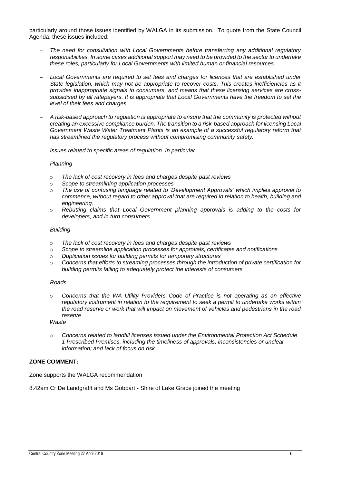particularly around those issues identified by WALGA in its submission. To quote from the State Council Agenda, these issues included:

- *The need for consultation with Local Governments before transferring any additional regulatory responsibilities. In some cases additional support may need to be provided to the sector to undertake these roles, particularly for Local Governments with limited human or financial resources*
- *Local Governments are required to set fees and charges for licences that are established under State legislation, which may not be appropriate to recover costs. This creates inefficiencies as it provides inappropriate signals to consumers, and means that these licensing services are crosssubsidised by all ratepayers. It is appropriate that Local Governments have the freedom to set the level of their fees and charges.*
- *A risk-based approach to regulation is appropriate to ensure that the community is protected without creating an excessive compliance burden. The transition to a risk-based approach for licensing Local Government Waste Water Treatment Plants is an example of a successful regulatory reform that has streamlined the regulatory process without compromising community safety.*
- *Issues related to specific areas of regulation. In particular:*

#### *Planning*

- o *The lack of cost recovery in fees and charges despite past reviews*
- o *Scope to streamlining application processes*
- o *The use of confusing language related to 'Development Approvals' which implies approval to commence, without regard to other approval that are required in relation to health, building and engineering.*
- o *Rebutting claims that Local Government planning approvals is adding to the costs for developers, and in turn consumers*

#### *Building*

- o *The lack of cost recovery in fees and charges despite past reviews*
- o *Scope to streamline application processes for approvals, certificates and notifications*
- o *Duplication issues for building permits for temporary structures*
- o *Concerns that efforts to streaming processes through the introduction of private certification for building permits failing to adequately protect the interests of consumers*

#### *Roads*

o *Concerns that the WA Utility Providers Code of Practice is not operating as an effective regulatory instrument in relation to the requirement to seek a permit to undertake works within the road reserve or work that will impact on movement of vehicles and pedestrians in the road reserve*

#### *Waste*

o *Concerns related to landfill licenses issued under the Environmental Protection Act Schedule 1 Prescribed Premises, including the timeliness of approvals; inconsistencies or unclear information; and lack of focus on risk.*

#### **ZONE COMMENT:**

Zone supports the WALGA recommendation

8.42am Cr De Landgrafft and Ms Gobbart - Shire of Lake Grace joined the meeting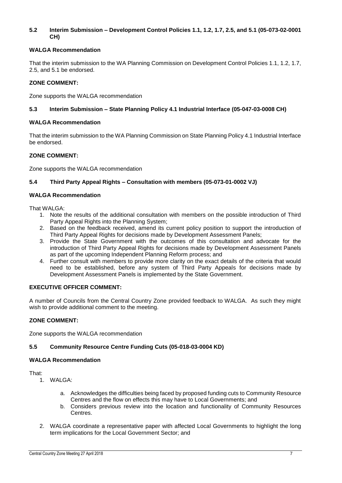#### **5.2 Interim Submission – Development Control Policies 1.1, 1.2, 1.7, 2.5, and 5.1 (05-073-02-0001 CH)**

#### **WALGA Recommendation**

That the interim submission to the WA Planning Commission on Development Control Policies 1.1, 1.2, 1.7, 2.5, and 5.1 be endorsed.

#### **ZONE COMMENT:**

Zone supports the WALGA recommendation

#### **5.3 Interim Submission – State Planning Policy 4.1 Industrial Interface (05-047-03-0008 CH)**

#### **WALGA Recommendation**

That the interim submission to the WA Planning Commission on State Planning Policy 4.1 Industrial Interface be endorsed.

#### **ZONE COMMENT:**

Zone supports the WALGA recommendation

#### **5.4 Third Party Appeal Rights – Consultation with members (05-073-01-0002 VJ)**

#### **WALGA Recommendation**

That WALGA:

- 1. Note the results of the additional consultation with members on the possible introduction of Third Party Appeal Rights into the Planning System;
- 2. Based on the feedback received, amend its current policy position to support the introduction of Third Party Appeal Rights for decisions made by Development Assessment Panels;
- 3. Provide the State Government with the outcomes of this consultation and advocate for the introduction of Third Party Appeal Rights for decisions made by Development Assessment Panels as part of the upcoming Independent Planning Reform process; and
- 4. Further consult with members to provide more clarity on the exact details of the criteria that would need to be established, before any system of Third Party Appeals for decisions made by Development Assessment Panels is implemented by the State Government.

#### **EXECUTIVE OFFICER COMMENT:**

A number of Councils from the Central Country Zone provided feedback to WALGA. As such they might wish to provide additional comment to the meeting.

#### **ZONE COMMENT:**

Zone supports the WALGA recommendation

#### **5.5 Community Resource Centre Funding Cuts (05-018-03-0004 KD)**

#### **WALGA Recommendation**

That:

- 1. WALGA:
	- a. Acknowledges the difficulties being faced by proposed funding cuts to Community Resource Centres and the flow on effects this may have to Local Governments; and
	- b. Considers previous review into the location and functionality of Community Resources **Centres**
- 2. WALGA coordinate a representative paper with affected Local Governments to highlight the long term implications for the Local Government Sector; and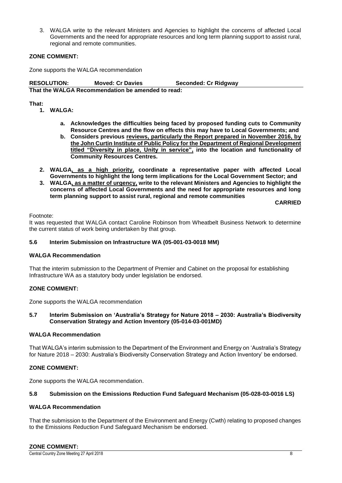3. WALGA write to the relevant Ministers and Agencies to highlight the concerns of affected Local Governments and the need for appropriate resources and long term planning support to assist rural, regional and remote communities.

#### **ZONE COMMENT:**

Zone supports the WALGA recommendation

**RESOLUTION: Moved: Cr Davies Seconded: Cr Ridgway That the WALGA Recommendation be amended to read:**

#### **That:**

- **1. WALGA:**
	- **a. Acknowledges the difficulties being faced by proposed funding cuts to Community Resource Centres and the flow on effects this may have to Local Governments; and**
	- **b. Considers previous reviews, particularly the Report prepared in November 2016, by the John Curtin Institute of Public Policy for the Department of Regional Development titled "Diversity in place, Unity in service", into the location and functionality of Community Resources Centres.**
- **2. WALGA, as a high priority, coordinate a representative paper with affected Local Governments to highlight the long term implications for the Local Government Sector; and**
- **3. WALGA, as a matter of urgency, write to the relevant Ministers and Agencies to highlight the concerns of affected Local Governments and the need for appropriate resources and long term planning support to assist rural, regional and remote communities**

**CARRIED**

Footnote:

It was requested that WALGA contact Caroline Robinson from Wheatbelt Business Network to determine the current status of work being undertaken by that group.

#### **5.6 Interim Submission on Infrastructure WA (05-001-03-0018 MM)**

#### **WALGA Recommendation**

That the interim submission to the Department of Premier and Cabinet on the proposal for establishing Infrastructure WA as a statutory body under legislation be endorsed.

#### **ZONE COMMENT:**

Zone supports the WALGA recommendation

#### **5.7 Interim Submission on 'Australia's Strategy for Nature 2018 – 2030: Australia's Biodiversity Conservation Strategy and Action Inventory (05-014-03-001MD)**

#### **WALGA Recommendation**

That WALGA's interim submission to the Department of the Environment and Energy on 'Australia's Strategy for Nature 2018 – 2030: Australia's Biodiversity Conservation Strategy and Action Inventory' be endorsed.

#### **ZONE COMMENT:**

Zone supports the WALGA recommendation.

#### **5.8 Submission on the Emissions Reduction Fund Safeguard Mechanism (05-028-03-0016 LS)**

#### **WALGA Recommendation**

That the submission to the Department of the Environment and Energy (Cwth) relating to proposed changes to the Emissions Reduction Fund Safeguard Mechanism be endorsed.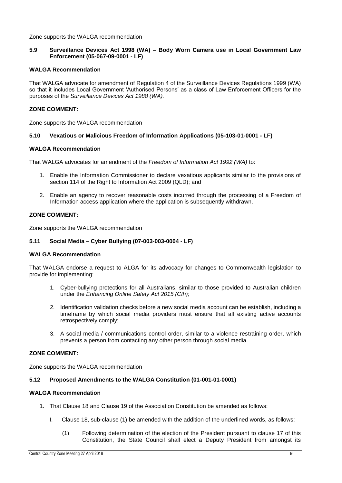Zone supports the WALGA recommendation

#### **5.9 Surveillance Devices Act 1998 (WA) – Body Worn Camera use in Local Government Law Enforcement (05-067-09-0001 - LF)**

#### **WALGA Recommendation**

That WALGA advocate for amendment of Regulation 4 of the Surveillance Devices Regulations 1999 (WA) so that it includes Local Government 'Authorised Persons' as a class of Law Enforcement Officers for the purposes of the *Surveillance Devices Act 1988 (WA).*

#### **ZONE COMMENT:**

Zone supports the WALGA recommendation

#### **5.10 Vexatious or Malicious Freedom of Information Applications (05-103-01-0001 - LF)**

#### **WALGA Recommendation**

That WALGA advocates for amendment of the *Freedom of Information Act 1992 (WA)* to:

- 1. Enable the Information Commissioner to declare vexatious applicants similar to the provisions of section 114 of the Right to Information Act 2009 (QLD); and
- 2. Enable an agency to recover reasonable costs incurred through the processing of a Freedom of Information access application where the application is subsequently withdrawn.

#### **ZONE COMMENT:**

Zone supports the WALGA recommendation

#### **5.11 Social Media – Cyber Bullying (07-003-003-0004 - LF)**

#### **WALGA Recommendation**

That WALGA endorse a request to ALGA for its advocacy for changes to Commonwealth legislation to provide for implementing:

- 1. Cyber-bullying protections for all Australians, similar to those provided to Australian children under the *Enhancing Online Safety Act 2015 (Cth);*
- 2. Identification validation checks before a new social media account can be establish, including a timeframe by which social media providers must ensure that all existing active accounts retrospectively comply;
- 3. A social media / communications control order, similar to a violence restraining order, which prevents a person from contacting any other person through social media.

#### **ZONE COMMENT:**

Zone supports the WALGA recommendation

#### **5.12 Proposed Amendments to the WALGA Constitution (01-001-01-0001)**

#### **WALGA Recommendation**

- 1. That Clause 18 and Clause 19 of the Association Constitution be amended as follows:
	- I. Clause 18, sub-clause (1) be amended with the addition of the underlined words, as follows:
		- (1) Following determination of the election of the President pursuant to clause 17 of this Constitution, the State Council shall elect a Deputy President from amongst its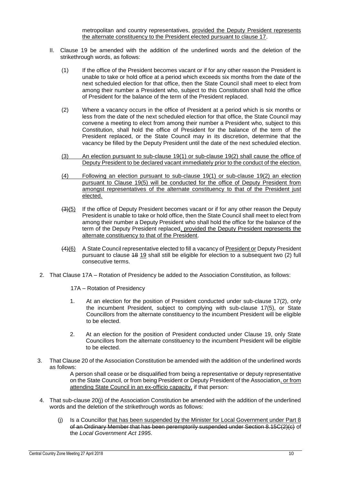metropolitan and country representatives, provided the Deputy President represents the alternate constituency to the President elected pursuant to clause 17.

- II. Clause 19 be amended with the addition of the underlined words and the deletion of the strikethrough words, as follows:
	- (1) If the office of the President becomes vacant or if for any other reason the President is unable to take or hold office at a period which exceeds six months from the date of the next scheduled election for that office, then the State Council shall meet to elect from among their number a President who, subject to this Constitution shall hold the office of President for the balance of the term of the President replaced.
	- (2) Where a vacancy occurs in the office of President at a period which is six months or less from the date of the next scheduled election for that office, the State Council may convene a meeting to elect from among their number a President who, subject to this Constitution, shall hold the office of President for the balance of the term of the President replaced, or the State Council may in its discretion, determine that the vacancy be filled by the Deputy President until the date of the next scheduled election.
	- (3) An election pursuant to sub-clause 19(1) or sub-clause 19(2) shall cause the office of Deputy President to be declared vacant immediately prior to the conduct of the election.
	- (4) Following an election pursuant to sub-clause 19(1) or sub-clause 19(2) an election pursuant to Clause 19(5) will be conducted for the office of Deputy President from amongst representatives of the alternate constituency to that of the President just elected.
	- (3)(5) If the office of Deputy President becomes vacant or if for any other reason the Deputy President is unable to take or hold office, then the State Council shall meet to elect from among their number a Deputy President who shall hold the office for the balance of the term of the Deputy President replaced, provided the Deputy President represents the alternate constituency to that of the President.
	- (4)(6) A State Council representative elected to fill a vacancy of President or Deputy President pursuant to clause 18 19 shall still be eligible for election to a subsequent two (2) full consecutive terms.
- 2. That Clause 17A Rotation of Presidency be added to the Association Constitution, as follows:
	- 17A Rotation of Presidency
	- 1. At an election for the position of President conducted under sub-clause 17(2), only the incumbent President, subject to complying with sub-clause 17(5), or State Councillors from the alternate constituency to the incumbent President will be eligible to be elected.
	- 2. At an election for the position of President conducted under Clause 19, only State Councillors from the alternate constituency to the incumbent President will be eligible to be elected.
- 3. That Clause 20 of the Association Constitution be amended with the addition of the underlined words as follows:

A person shall cease or be disqualified from being a representative or deputy representative on the State Council, or from being President or Deputy President of the Association, or from attending State Council in an ex-officio capacity, if that person:

- 4. That sub-clause 20(j) of the Association Constitution be amended with the addition of the underlined words and the deletion of the strikethrough words as follows:
	- (j) Is a Councillor that has been suspended by the Minister for Local Government under Part 8 of an Ordinary Member that has been peremptorily suspended under Section 8.15C(2)(c) of the *Local Government Act 1995*.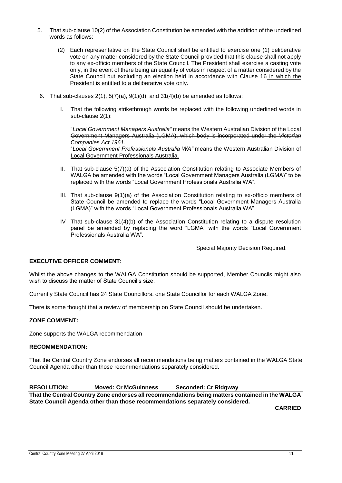- 5. That sub-clause 10(2) of the Association Constitution be amended with the addition of the underlined words as follows:
	- (2) Each representative on the State Council shall be entitled to exercise one (1) deliberative vote on any matter considered by the State Council provided that this clause shall not apply to any ex-officio members of the State Council. The President shall exercise a casting vote only, in the event of there being an equality of votes in respect of a matter considered by the State Council but excluding an election held in accordance with Clause 16 in which the President is entitled to a deliberative vote only.
- 6. That sub-clauses  $2(1)$ ,  $5(7)(a)$ ,  $9(1)(d)$ , and  $31(4)(b)$  be amended as follows:
	- I. That the following strikethrough words be replaced with the following underlined words in sub-clause 2(1):

"*Local Government Managers Australia"* means the Western Australian Division of the Local Government Managers Australia (LGMA), which body is incorporated under the *Victorian Companies Act 1961.*

"*Local Government Professionals Australia WA"* means the Western Australian Division of Local Government Professionals Australia.

- II. That sub-clause 5(7)(a) of the Association Constitution relating to Associate Members of WALGA be amended with the words "Local Government Managers Australia (LGMA)" to be replaced with the words "Local Government Professionals Australia WA".
- III. That sub-clause 9(1)(a) of the Association Constitution relating to ex-officio members of State Council be amended to replace the words "Local Government Managers Australia (LGMA)" with the words "Local Government Professionals Australia WA".
- IV That sub-clause 31(4)(b) of the Association Constitution relating to a dispute resolution panel be amended by replacing the word "LGMA" with the words "Local Government Professionals Australia WA".

Special Majority Decision Required.

#### **EXECUTIVE OFFICER COMMENT:**

Whilst the above changes to the WALGA Constitution should be supported, Member Councils might also wish to discuss the matter of State Council's size.

Currently State Council has 24 State Councillors, one State Councillor for each WALGA Zone.

There is some thought that a review of membership on State Council should be undertaken.

#### **ZONE COMMENT:**

Zone supports the WALGA recommendation

#### **RECOMMENDATION:**

That the Central Country Zone endorses all recommendations being matters contained in the WALGA State Council Agenda other than those recommendations separately considered.

**RESOLUTION: Moved: Cr McGuinness Seconded: Cr Ridgway That the Central Country Zone endorses all recommendations being matters contained in the WALGA State Council Agenda other than those recommendations separately considered.**

**CARRIED**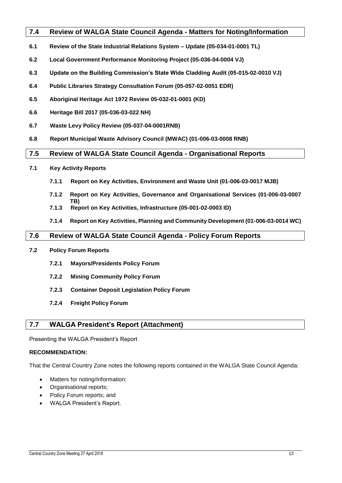#### <span id="page-12-0"></span>**7.4 Review of WALGA State Council Agenda - Matters for Noting/Information**

- **6.1 Review of the State Industrial Relations System – Update (05-034-01-0001 TL)**
- **6.2 Local Government Performance Monitoring Project (05-036-04-0004 VJ)**
- **6.3 Update on the Building Commission's State Wide Cladding Audit (05-015-02-0010 VJ)**
- **6.4 Public Libraries Strategy Consultation Forum (05-057-02-0051 EDR)**
- **6.5 Aboriginal Heritage Act 1972 Review 05-032-01-0001 (KD)**
- **6.6 Heritage Bill 2017 (05-036-03-022 NH)**
- **6.7 Waste Levy Policy Review (05-037-04-0001RNB)**
- **6.8 Report Municipal Waste Advisory Council (MWAC) (01-006-03-0008 RNB)**

#### <span id="page-12-1"></span>**7.5 Review of WALGA State Council Agenda - Organisational Reports**

- **7.1 Key Activity Reports**
	- **7.1.1 Report on Key Activities, Environment and Waste Unit (01-006-03-0017 MJB)**
	- **7.1.2 Report on Key Activities, Governance and Organisational Services (01-006-03-0007 TB)**
	- **7.1.3 Report on Key Activities, Infrastructure (05-001-02-0003 ID)**
	- **7.1.4 Report on Key Activities, Planning and Community Development (01-006-03-0014 WC)**

#### <span id="page-12-2"></span>**7.6 Review of WALGA State Council Agenda - Policy Forum Reports**

- **7.2 Policy Forum Reports**
	- **7.2.1 Mayors/Presidents Policy Forum**
	- **7.2.2 Mining Community Policy Forum**
	- **7.2.3 Container Deposit Legislation Policy Forum**
	- **7.2.4 Freight Policy Forum**

### <span id="page-12-3"></span>**7.7 WALGA President's Report (Attachment)**

Presenting the WALGA President's Report

#### **RECOMMENDATION:**

That the Central Country Zone notes the following reports contained in the WALGA State Council Agenda:

- Matters for noting/Information;
- Organisational reports;
- Policy Forum reports; and
- WALGA President's Report.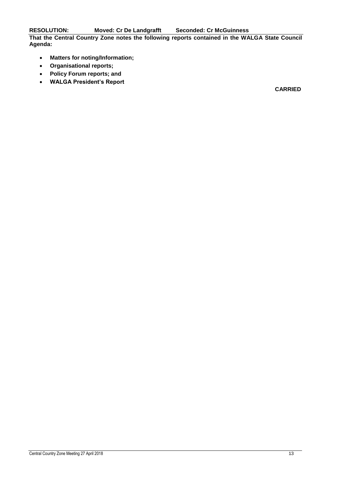**RESOLUTION: Moved: Cr De Landgrafft Seconded: Cr McGuinness**

**That the Central Country Zone notes the following reports contained in the WALGA State Council Agenda:**

- **Matters for noting/Information;**
- **Organisational reports;**
- **Policy Forum reports; and**
- **WALGA President's Report**

**CARRIED**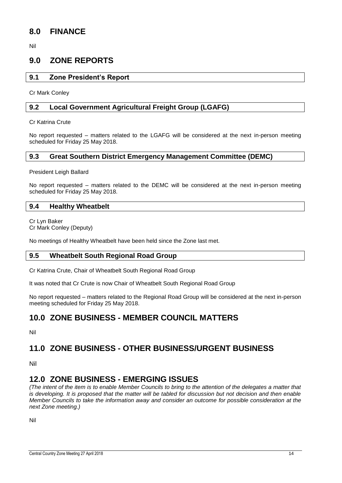## <span id="page-14-0"></span>**8.0 FINANCE**

Nil

## <span id="page-14-1"></span>**9.0 ZONE REPORTS**

#### <span id="page-14-2"></span>**9.1 Zone President's Report**

Cr Mark Conley

#### <span id="page-14-3"></span>**9.2 Local Government Agricultural Freight Group (LGAFG)**

Cr Katrina Crute

No report requested – matters related to the LGAFG will be considered at the next in-person meeting scheduled for Friday 25 May 2018.

#### <span id="page-14-4"></span>**9.3 Great Southern District Emergency Management Committee (DEMC)**

President Leigh Ballard

No report requested – matters related to the DEMC will be considered at the next in-person meeting scheduled for Friday 25 May 2018.

#### <span id="page-14-5"></span>**9.4 Healthy Wheatbelt**

Cr Lyn Baker Cr Mark Conley (Deputy)

No meetings of Healthy Wheatbelt have been held since the Zone last met.

#### <span id="page-14-6"></span>**9.5 Wheatbelt South Regional Road Group**

Cr Katrina Crute, Chair of Wheatbelt South Regional Road Group

It was noted that Cr Crute is now Chair of Wheatbelt South Regional Road Group

No report requested – matters related to the Regional Road Group will be considered at the next in-person meeting scheduled for Friday 25 May 2018.

## <span id="page-14-7"></span>**10.0 ZONE BUSINESS - MEMBER COUNCIL MATTERS**

Nil

## <span id="page-14-8"></span>**11.0 ZONE BUSINESS - OTHER BUSINESS/URGENT BUSINESS**

Nil

## <span id="page-14-9"></span>**12.0 ZONE BUSINESS - EMERGING ISSUES**

*(The intent of the item is to enable Member Councils to bring to the attention of the delegates a matter that is developing. It is proposed that the matter will be tabled for discussion but not decision and then enable Member Councils to take the information away and consider an outcome for possible consideration at the next Zone meeting.)*